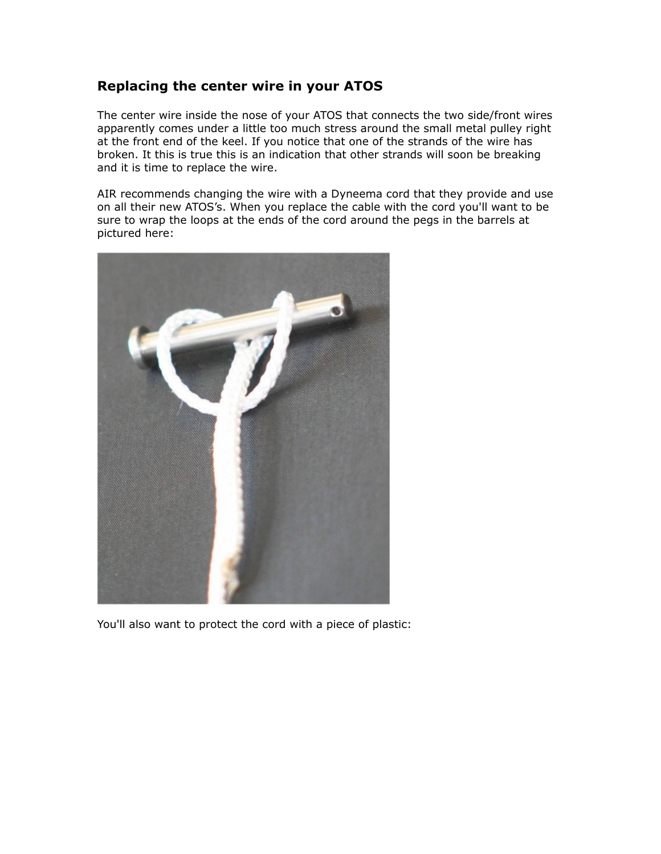## **Replacing the center wire in your ATOS**

The center wire inside the nose of your ATOS that connects the two side/front wires apparently comes under a little too much stress around the small metal pulley right at the front end of the keel. If you notice that one of the strands of the wire has broken. It this is true this is an indication that other strands will soon be breaking and it is time to replace the wire.

AIR recommends changing the wire with a Dyneema cord that they provide and use on all their new ATOS's. When you replace the cable with the cord you'll want to be sure to wrap the loops at the ends of the cord around the pegs in the barrels at pictured here:



You'll also want to protect the cord with a piece of plastic: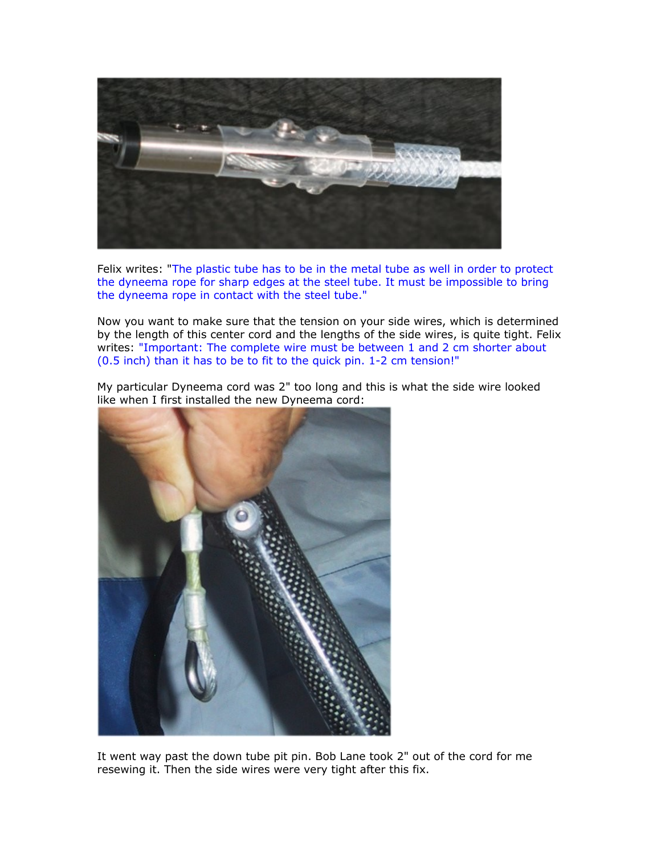

Felix writes: "The plastic tube has to be in the metal tube as well in order to protect the dyneema rope for sharp edges at the steel tube. It must be impossible to bring the dyneema rope in contact with the steel tube."

Now you want to make sure that the tension on your side wires, which is determined by the length of this center cord and the lengths of the side wires, is quite tight. Felix writes: "Important: The complete wire must be between 1 and 2 cm shorter about (0.5 inch) than it has to be to fit to the quick pin. 1-2 cm tension!"

My particular Dyneema cord was 2" too long and this is what the side wire looked like when I first installed the new Dyneema cord:



It went way past the down tube pit pin. Bob Lane took 2" out of the cord for me resewing it. Then the side wires were very tight after this fix.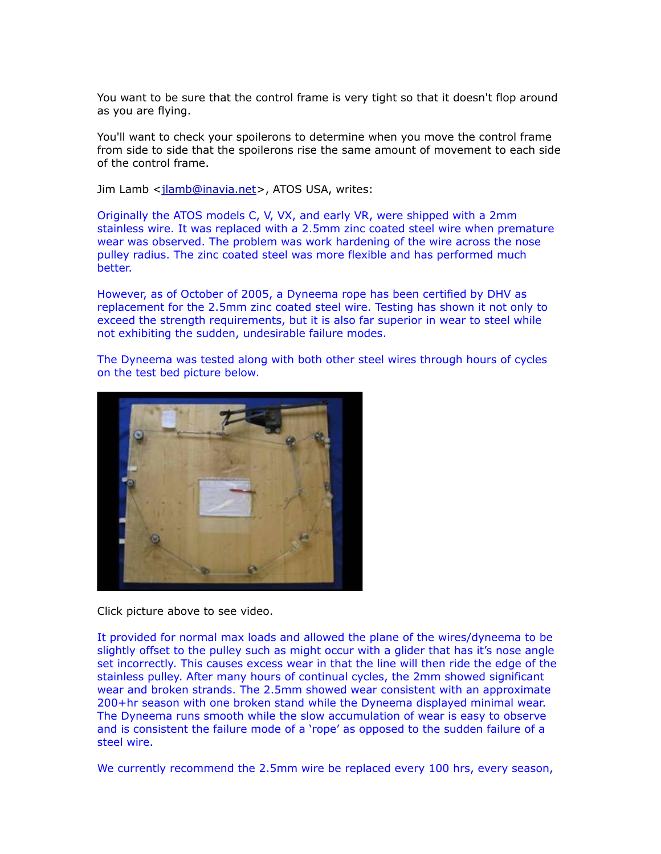You want to be sure that the control frame is very tight so that it doesn't flop around as you are flying.

You'll want to check your spoilerons to determine when you move the control frame from side to side that the spoilerons rise the same amount of movement to each side of the control frame.

Jim Lamb [<jlamb@inavia.net>](mailto:jlamb@inavia.net), ATOS USA, writes:

Originally the ATOS models C, V, VX, and early VR, were shipped with a 2mm stainless wire. It was replaced with a 2.5mm zinc coated steel wire when premature wear was observed. The problem was work hardening of the wire across the nose pulley radius. The zinc coated steel was more flexible and has performed much better.

However, as of October of 2005, a Dyneema rope has been certified by DHV as replacement for the 2.5mm zinc coated steel wire. Testing has shown it not only to exceed the strength requirements, but it is also far superior in wear to steel while not exhibiting the sudden, undesirable failure modes.

The Dyneema was tested along with both other steel wires through hours of cycles on the test bed picture below.



Click picture above to see video.

It provided for normal max loads and allowed the plane of the wires/dyneema to be slightly offset to the pulley such as might occur with a glider that has it's nose angle set incorrectly. This causes excess wear in that the line will then ride the edge of the stainless pulley. After many hours of continual cycles, the 2mm showed significant wear and broken strands. The 2.5mm showed wear consistent with an approximate 200+hr season with one broken stand while the Dyneema displayed minimal wear. The Dyneema runs smooth while the slow accumulation of wear is easy to observe and is consistent the failure mode of a 'rope' as opposed to the sudden failure of a steel wire.

We currently recommend the 2.5mm wire be replaced every 100 hrs, every season,